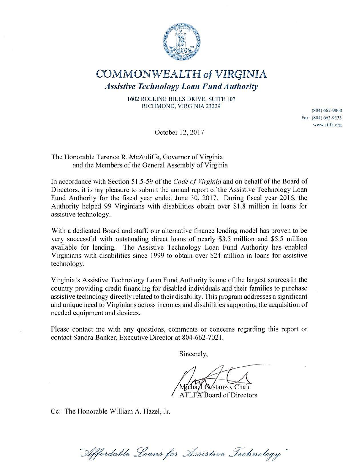

### COMMONWEALTH of VIRGINIA

*Assistive Technology Loan Fund Authority* 

1602 ROLLING HILLS DRIVE, SUITE 107 RICHMOND, VIRGINIA 23229

(804) 662-9000 Fax: (804) 662-9533 www. atlfa .org

October 12, 2017

The Honorable Terence R. McAuliffe, Governor of Virginia and the Members of the General Assembly of Virginia

In accordance with Section 51.5-59 of the *Code of Virginia* and on behalf of the Board of Directors, it is my pleasure to submit the annual report of the Assistive Technology Loan Fund Authority for the fiscal year ended June 30, 2017. During fiscal year 2016, the Authority helped 99 Virginians with disabilities obtain over \$1.8 million in loans for assistive technology.

With a dedicated Board and staff, our alternative finance lending model has proven to be very successful with outstanding direct loans of nearly \$3.5 million and \$5.5 million available for lending. The Assistive Technology Loan Fund Authority has enabled Virginians with disabilities since 1999 to obtain over \$24 million in loans for assistive technology.

Virginia's Assistive Technology Loan fund Authority is one of the largest sources in the country providing credit financing for disabled individuals and their families to purchase assistive technology directly related to their disability. This program addresses a significant and unique need to Virginians across incomes and disabilities supporting the acquisition of needed equipment and devices.

Please contact me with any questions, comments or concerns regarding this report or contact Sandra Banker, Executive Director at 804-662-7021.

Sincerely,

 $\delta$ stanzo. ATLFA Board of Directors

Cc: The Honorable William A. Hazel, Jr.

"Affordable Loans for Assistive Technology"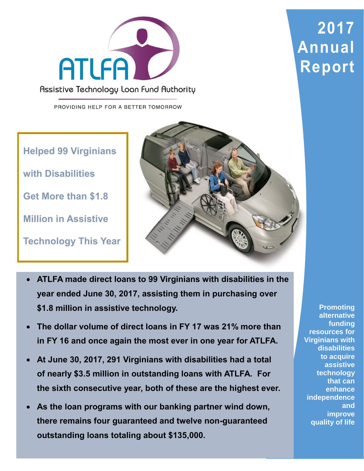

Assistive Technology Loan Fund Authority

PROVIDING HELP FOR A BETTER TOMORROW

**Helped 99 Virginians** 

**with Disabilities**

**Get More than \$1.8** 

**Million in Assistive** 

**Technology This Year**



- **ATLFA made direct loans to 99 Virginians with disabilities in the year ended June 30, 2017, assisting them in purchasing over \$1.8 million in assistive technology.**
- **The dollar volume of direct loans in FY 17 was 21% more than in FY 16 and once again the most ever in one year for ATLFA.**
- **At June 30, 2017, 291 Virginians with disabilities had a total of nearly \$3.5 million in outstanding loans with ATLFA. For the sixth consecutive year, both of these are the highest ever.**
- **As the loan programs with our banking partner wind down, there remains four guaranteed and twelve non-guaranteed outstanding loans totaling about \$135,000.**

**Promoting alternative funding resources for Virginians with disabilities to acquire assistive technology that can enhance independence and improve quality of life**

# **2017 Annual Report**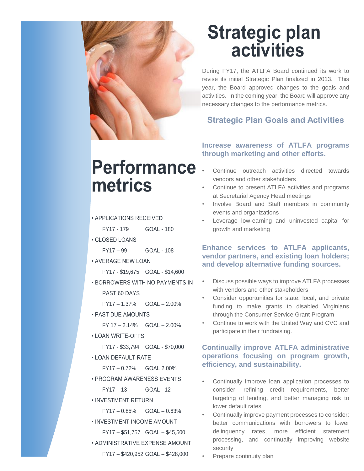

## **Strategic plan activities**

During FY17, the ATLFA Board continued its work to revise its initial Strategic Plan finalized in 2013. This year, the Board approved changes to the goals and activities. In the coming year, the Board will approve any necessary changes to the performance metrics.

### **Strategic Plan Goals and Activities**

# **Performance metrics**

- APPLICATIONS RECEIVED
	- FY17 179 GOAL 180
- CLOSED LOANS
	- FY17 99 GOAL 108
- AVERAGE NEW LOAN
	- FY17 \$19,675 GOAL \$14,600
- BORROWERS WITH NO PAYMENTS IN PAST 60 DAYS

FY17 – 1.37% GOAL – 2.00%

• PAST DUE AMOUNTS

 $FY 17 - 2.14\%$  GOAL  $- 2.00\%$ 

- LOAN WRITE-OFFS
	- FY17 \$33,794 GOAL \$70,000
- LOAN DEFAULT RATE
	- FY17 0.72% GOAL 2.00%
- PROGRAM AWARENESS EVENTS

FY17 – 13 GOAL - 12

- INVESTMENT RETURN
	- $FY17 0.85\%$  GOAL 0.63%
- INVESTMENT INCOME AMOUNT FY17 – \$51,757 GOAL – \$45,500
- ADMINISTRATIVE EXPENSE AMOUNT FY17 – \$420,952 GOAL – \$428,000

### **Increase awareness of ATLFA programs through marketing and other efforts.**

- Continue outreach activities directed towards vendors and other stakeholders
- Continue to present ATLFA activities and programs at Secretarial Agency Head meetings
- Involve Board and Staff members in community events and organizations
- Leverage low-earning and uninvested capital for growth and marketing

### **Enhance services to ATLFA applicants, vendor partners, and existing loan holders; and develop alternative funding sources.**

- Discuss possible ways to improve ATLFA processes with vendors and other stakeholders
- Consider opportunities for state, local, and private funding to make grants to disabled Virginians through the Consumer Service Grant Program
- Continue to work with the United Way and CVC and participate in their fundraising.

### **Continually improve ATLFA administrative operations focusing on program growth, efficiency, and sustainability.**

- Continually improve loan application processes to consider: refining credit requirements, better targeting of lending, and better managing risk to lower default rates
- Continually improve payment processes to consider: better communications with borrowers to lower delinquency rates, more efficient statement processing, and continually improving website security
- Prepare continuity plan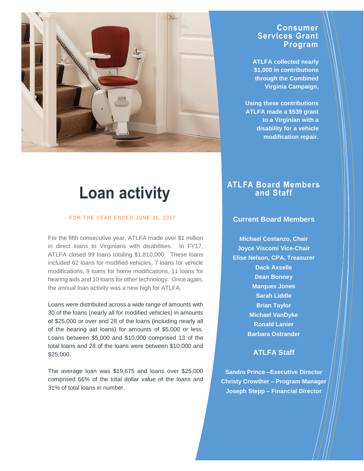

### **Loan activity**

#### FOR THE YEAR ENDED JUNE 30, 2017

For the fifth consecutive year, ATLFA made over \$1 million in direct loans to Virginians with disabilities. In FY17, ATLFA closed 99 loans totaling \$1,810,000. These loans included 62 loans for modified vehicles, 7 loans for vehicle modifications, 9 loans for home modifications, 11 loans for hearing aids and 10 loans for other technology. Once again, the annual loan activity was a new high for ATLFA.

Loans were distributed across a wide range of amounts with 30 of the loans (nearly all for modified vehicles) in amounts of \$25,000 or over and 28 of the loans (including nearly all of the hearing aid loans) for amounts of \$5,000 or less. Loans between \$5,000 and \$10,000 comprised 13 of the total loans and 28 of the loans were between \$10,000 and \$25,000.

The average loan was \$19,675 and loans over \$25,000 comprised 66% of the total dollar value of the loans and 31% of total loans in number.

### **Consumer Services Grant Program**

**ATLFA collected nearly \$1,000 in contributions through the Combined Virginia Campaign,** 

**Using these contributions ATLFA made a \$539 grant to a Virginian with a disability for a vehicle modification repair.**

### **ATLFA Board Members and Staff**

#### **Current Board Members**

**Michael Costanzo, Chair Joyce Viscomi Vice-Chair Elise Nelson, CPA, Treasurer Dack Axselle Dean Bonney Marques Jones Sarah Liddle Brian Taylor Michael VanDyke Ronald Lanier Barbara Ostrander**

### **ATLFA Staff**

**Sandra Prince –Executive Director Christy Crowther – Program Manager Joseph Stepp – Financial Director**